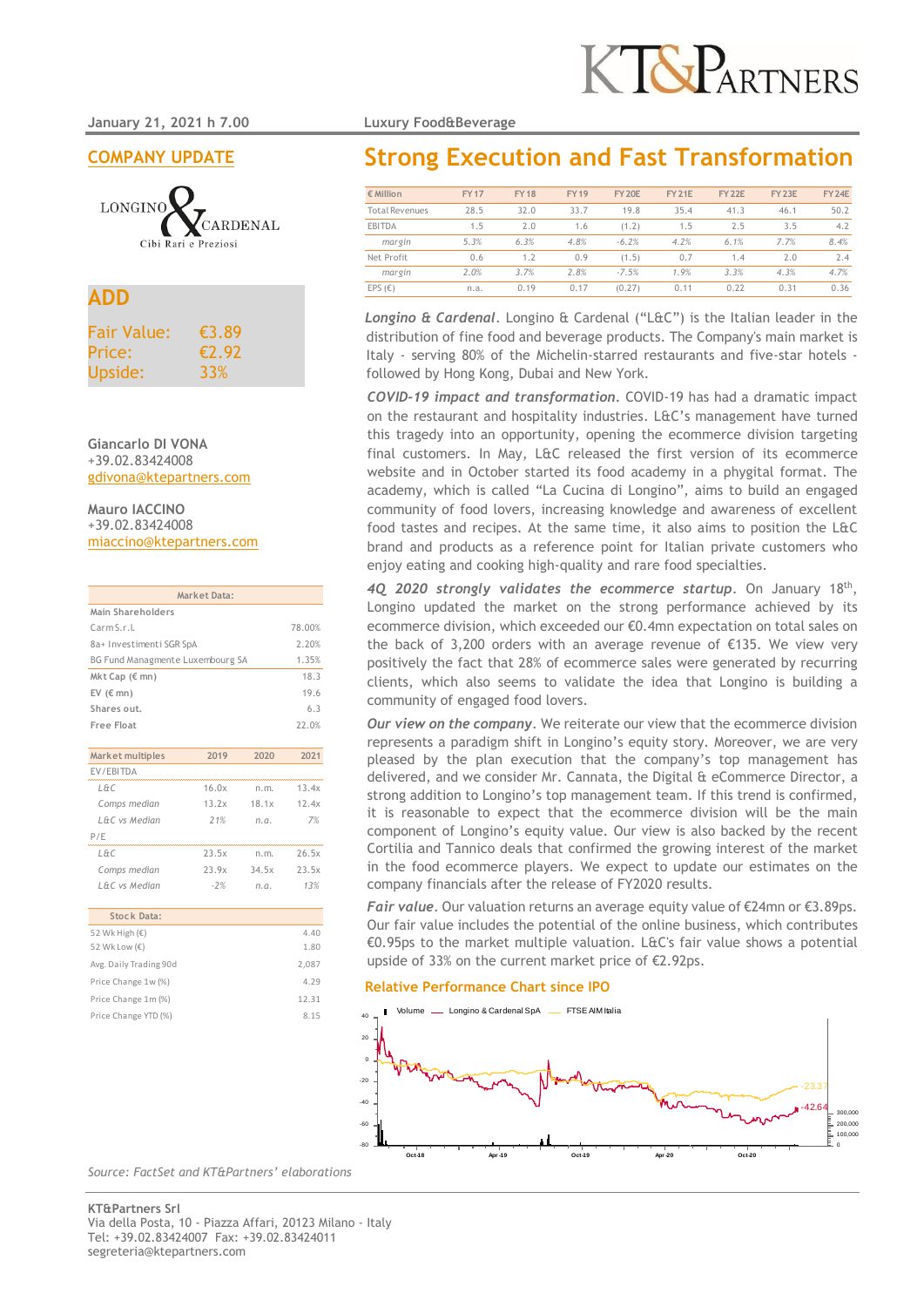**January 21, 2021 h 7.00 Luxury Food&Beverage** 

**COMPANY UPDATE**



## **ADD**

| <b>Fair Value:</b> | €3.89 |
|--------------------|-------|
| Price:             | £2.92 |
| Upside:            | 33%   |

**Giancarlo DI VONA** +39.02.83424008 gdivona@ktepartners.com

**Mauro IACCINO** +39.02.83424008 miaccino@ktepartners.com

|                                  | <b>Market Data:</b>      |       |        |  |  |  |  |  |  |  |  |
|----------------------------------|--------------------------|-------|--------|--|--|--|--|--|--|--|--|
| Main Shareholders                |                          |       |        |  |  |  |  |  |  |  |  |
| Carm S.r.L                       |                          |       | 78.00% |  |  |  |  |  |  |  |  |
|                                  | 8a+ Investimenti SGR SpA |       |        |  |  |  |  |  |  |  |  |
| BG Fund Managmente Luxembourg SA | 1.35%                    |       |        |  |  |  |  |  |  |  |  |
| Mkt Cap (€ mn)                   |                          |       | 18.3   |  |  |  |  |  |  |  |  |
| EV $(\epsilon$ mn)               |                          |       | 19.6   |  |  |  |  |  |  |  |  |
| Shares out.                      |                          |       | 6.3    |  |  |  |  |  |  |  |  |
| <b>Free Float</b>                |                          |       | 22.0%  |  |  |  |  |  |  |  |  |
|                                  |                          |       |        |  |  |  |  |  |  |  |  |
| Market multiples                 | 2019                     | 2020  | 2021   |  |  |  |  |  |  |  |  |
| EV/EBITDA                        |                          |       |        |  |  |  |  |  |  |  |  |
| L&C                              | 16.0x                    | n.m.  | 13.4x  |  |  |  |  |  |  |  |  |
| Comps median                     | 13.2x                    | 18.1x | 12.4x  |  |  |  |  |  |  |  |  |
| L&C vs Median                    | 21%                      | n.a.  | 7%     |  |  |  |  |  |  |  |  |

| P/F           |       |       |       |
|---------------|-------|-------|-------|
| L&C           | 23.5x | n.m.  | 26.5x |
| Comps median  | 23.9x | 34.5x | 23.5x |
| L&C vs Median | $-2%$ | n.a.  | 13%   |
|               |       |       |       |

| Stock Data:             |       |
|-------------------------|-------|
| 52 Wk High $(\epsilon)$ | 4.40  |
| 52 Wk Low (€)           | 1.80  |
| Avg. Daily Trading 90d  | 2,087 |
| Price Change 1w (%)     | 4.29  |
| Price Change 1m (%)     | 12.31 |
| Price Change YTD (%)    | 8.15  |
|                         |       |

# **Strong Execution and Fast Transformation**

| $\epsilon$ Million    | <b>FY17</b> | <b>FY18</b> | <b>FY19</b> | <b>FY 20E</b> | <b>FY 21E</b> | <b>FY 22E</b> | <b>FY 23E</b> | <b>FY 24E</b> |
|-----------------------|-------------|-------------|-------------|---------------|---------------|---------------|---------------|---------------|
| <b>Total Revenues</b> | 28.5        | 32.0        | 33.7        | 19.8          | 35.4          | 41.3          | 46.1          | 50.2          |
| <b>EBITDA</b>         | 1.5         | 2.0         | 1.6         | (1.2)         | 1.5           | 2.5           | 3.5           | 4.2           |
| margin                | 5.3%        | 6.3%        | 4.8%        | $-6.2%$       | 4.2%          | 6.1%          | 7.7%          | 8.4%          |
| Net Profit            | 0.6         | 1.2         | 0.9         | (1.5)         | 0.7           | 1.4           | 2.0           | 2.4           |
| margin                | 2.0%        | 3.7%        | 2.8%        | $-7.5%$       | 1.9%          | 3.3%          | 4.3%          | 4.7%          |
| EPS $(\epsilon)$      | n.a.        | 0.19        | 0.17        | (0.27)        | 0.11          | 0.22          | 0.31          | 0.36          |

*Longino & Cardenal*. Longino & Cardenal ("L&C") is the Italian leader in the distribution of fine food and beverage products. The Company's main market is Italy - serving 80% of the Michelin-starred restaurants and five-star hotels followed by Hong Kong, Dubai and New York.

*COVID-19 impact and transformation.* COVID-19 has had a dramatic impact on the restaurant and hospitality industries. L&C's management have turned this tragedy into an opportunity, opening the ecommerce division targeting final customers. In May, L&C released the first version of its ecommerce website and in October started its food academy in a phygital format. The academy, which is called "La Cucina di Longino", aims to build an engaged community of food lovers, increasing knowledge and awareness of excellent food tastes and recipes. At the same time, it also aims to position the L&C brand and products as a reference point for Italian private customers who enjoy eating and cooking high-quality and rare food specialties.

*4Q 2020 strongly validates the ecommerce startup*. On January 18th , Longino updated the market on the strong performance achieved by its ecommerce division, which exceeded our €0.4mn expectation on total sales on the back of 3,200 orders with an average revenue of €135. We view very positively the fact that 28% of ecommerce sales were generated by recurring clients, which also seems to validate the idea that Longino is building a community of engaged food lovers.

*Our view on the company*. We reiterate our view that the ecommerce division represents a paradigm shift in Longino's equity story. Moreover, we are very pleased by the plan execution that the company's top management has delivered, and we consider Mr. Cannata, the Digital & eCommerce Director, a strong addition to Longino's top management team. If this trend is confirmed, it is reasonable to expect that the ecommerce division will be the main component of Longino's equity value. Our view is also backed by the recent Cortilia and Tannico deals that confirmed the growing interest of the market in the food ecommerce players. We expect to update our estimates on the company financials after the release of FY2020 results.

*Fair value*. Our valuation returns an average equity value of €24mn or €3.89ps. Our fair value includes the potential of the online business, which contributes €0.95ps to the market multiple valuation. L&C's fair value shows a potential upside of 33% on the current market price of €2.92ps.

#### **Relative Performance Chart since IPO**



*Source: FactSet and KT&Partners' elaborations*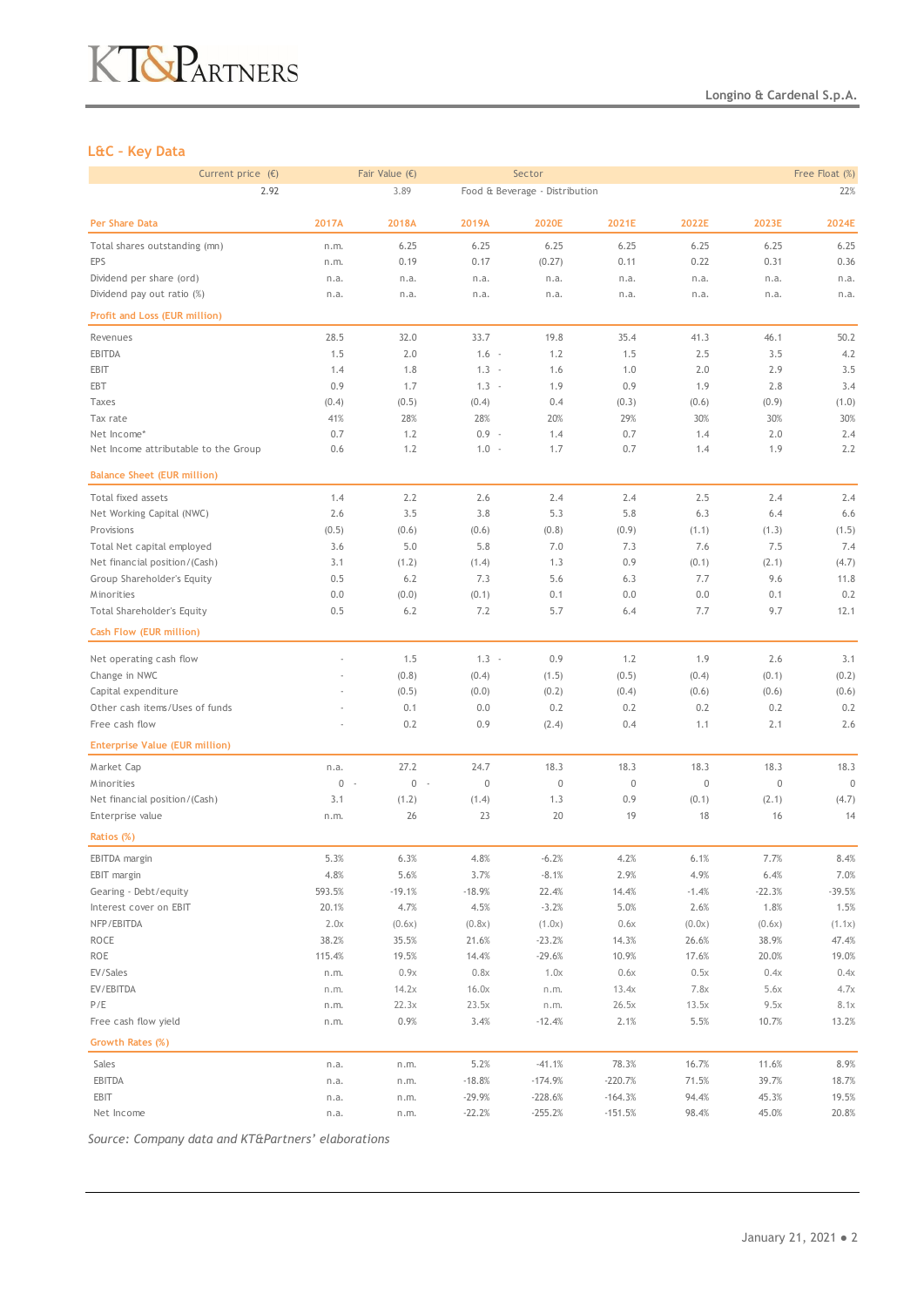# KT&PARTNERS

### **L&C – Key Data**

| Current price $(E)$<br>Fair Value $(\epsilon)$ |             |                       |             | Sector                         |             | Free Float (%) |             |             |  |
|------------------------------------------------|-------------|-----------------------|-------------|--------------------------------|-------------|----------------|-------------|-------------|--|
| 2.92                                           |             | 3.89                  |             | Food & Beverage - Distribution |             |                |             | 22%         |  |
| Per Share Data                                 | 2017A       | 2018A                 | 2019A       | 2020E                          | 2021E       | 2022E          | 2023E       | 2024E       |  |
| Total shares outstanding (mn)                  | n.m.        | 6.25                  | 6.25        | 6.25                           | 6.25        | 6.25           | 6.25        | 6.25        |  |
| EPS                                            | n.m.        | 0.19                  | 0.17        | (0.27)                         | 0.11        | 0.22           | 0.31        | 0.36        |  |
| Dividend per share (ord)                       | n.a.        | n.a.                  | n.a.        | n.a.                           | n.a.        | n.a.           | n.a.        | n.a.        |  |
| Dividend pay out ratio (%)                     | n.a.        | n.a.                  | n.a.        | n.a.                           | n.a.        | n.a.           | n.a.        | n.a.        |  |
| Profit and Loss (EUR million)                  |             |                       |             |                                |             |                |             |             |  |
| Revenues                                       | 28.5        | 32.0                  | 33.7        | 19.8                           | 35.4        | 41.3           | 46.1        | 50.2        |  |
| EBITDA                                         | 1.5         | 2.0                   | $1.6 -$     | 1.2                            | 1.5         | 2.5            | 3.5         | 4.2         |  |
| EBIT                                           | 1.4         | 1.8                   | $1.3 -$     | 1.6                            | 1.0         | 2.0            | 2.9         | 3.5         |  |
| EBT                                            | 0.9         | 1.7                   | $1.3 -$     | 1.9                            | 0.9         | 1.9            | 2.8         | 3.4         |  |
| Taxes                                          | (0.4)       | (0.5)                 | (0.4)       | 0.4                            | (0.3)       | (0.6)          | (0.9)       | (1.0)       |  |
| Tax rate                                       | 41%         | 28%                   | 28%         | 20%                            | 29%         | 30%            | 30%         | 30%         |  |
| Net Income*                                    | 0.7         | 1.2                   | $0.9 -$     | 1.4                            | 0.7         | 1.4            | 2.0         | 2.4         |  |
| Net Income attributable to the Group           | 0.6         | 1.2                   | $1.0 -$     | 1.7                            | 0.7         | 1.4            | 1.9         | 2.2         |  |
| <b>Balance Sheet (EUR million)</b>             |             |                       |             |                                |             |                |             |             |  |
| Total fixed assets                             | 1.4         | 2.2                   | 2.6         | 2.4                            | 2.4         | 2.5            | 2.4         | 2.4         |  |
| Net Working Capital (NWC)                      | 2.6         | 3.5                   | 3.8         | 5.3                            | 5.8         | 6.3            | 6.4         | 6.6         |  |
| Provisions                                     | (0.5)       | (0.6)                 | (0.6)       | (0.8)                          | (0.9)       | (1.1)          | (1.3)       | (1.5)       |  |
| Total Net capital employed                     | 3.6         | 5.0                   | 5.8         | 7.0                            | 7.3         | 7.6            | 7.5         | 7.4         |  |
| Net financial position/(Cash)                  | 3.1         | (1.2)                 | (1.4)       | 1.3                            | 0.9         | (0.1)          | (2.1)       | (4.7)       |  |
| Group Shareholder's Equity                     | 0.5         | 6.2                   | 7.3         | 5.6                            | 6.3         | 7.7            | 9.6         | 11.8        |  |
| Minorities                                     | 0.0         | (0.0)                 | (0.1)       | 0.1                            | 0.0         | 0.0            | 0.1         | 0.2         |  |
| Total Shareholder's Equity                     | 0.5         | 6.2                   | 7.2         | 5.7                            | 6.4         | 7.7            | 9.7         | 12.1        |  |
| Cash Flow (EUR million)                        |             |                       |             |                                |             |                |             |             |  |
|                                                |             |                       |             |                                |             |                |             |             |  |
| Net operating cash flow                        |             | 1.5                   | $1.3 -$     | 0.9                            | 1.2         | 1.9            | 2.6         | 3.1         |  |
| Change in NWC                                  |             | (0.8)                 | (0.4)       | (1.5)                          | (0.5)       | (0.4)          | (0.1)       | (0.2)       |  |
| Capital expenditure                            |             | (0.5)                 | (0.0)       | (0.2)                          | (0.4)       | (0.6)          | (0.6)       | (0.6)       |  |
| Other cash items/Uses of funds                 |             | 0.1                   | 0.0         | 0.2                            | 0.2         | 0.2            | 0.2         | 0.2         |  |
| Free cash flow                                 |             | 0.2                   | 0.9         | (2.4)                          | 0.4         | 1.1            | 2.1         | 2.6         |  |
| <b>Enterprise Value (EUR million)</b>          |             |                       |             |                                |             |                |             |             |  |
| Market Cap                                     | n.a.        | 27.2                  | 24.7        | 18.3                           | 18.3        | 18.3           | 18.3        | 18.3        |  |
| Minorities                                     | 0<br>$\sim$ | $\mathbb O$<br>$\sim$ | $\mathbb O$ | $\mathbb O$                    | $\mathbf 0$ | $\mathbf 0$    | $\mathbb O$ | $\mathbf 0$ |  |
| Net financial position/(Cash)                  | 3.1         | (1.2)                 | (1.4)       | 1.3                            | 0.9         | (0.1)          | (2.1)       | (4.7)       |  |
| Enterprise value                               | n.m.        | 26                    | 23          | 20                             | 19          | 18             | 16          | 14          |  |
| Ratios (%)                                     |             |                       |             |                                |             |                |             |             |  |
| EBITDA margin                                  | 5.3%        | 6.3%                  | 4.8%        | $-6.2%$                        | 4.2%        | 6.1%           | 7.7%        | 8.4%        |  |
| EBIT margin                                    | 4.8%        | 5.6%                  | 3.7%        | $-8.1%$                        | 2.9%        | 4.9%           | 6.4%        | 7.0%        |  |
| Gearing - Debt/equity                          | 593.5%      | $-19.1%$              | $-18.9%$    | 22.4%                          | 14.4%       | $-1.4%$        | $-22.3%$    | $-39.5%$    |  |
| Interest cover on EBIT                         | 20.1%       | 4.7%                  | 4.5%        | $-3.2%$                        | 5.0%        | 2.6%           | 1.8%        | 1.5%        |  |
| NFP/EBITDA                                     | 2.0x        | (0.6x)                | (0.8x)      | (1.0x)                         | 0.6x        | (0.0x)         | (0.6x)      | (1.1x)      |  |
| ROCE                                           | 38.2%       | 35.5%                 | 21.6%       | $-23.2%$                       | 14.3%       | 26.6%          | 38.9%       | 47.4%       |  |
| ROE                                            | 115.4%      | 19.5%                 | 14.4%       | $-29.6%$                       | 10.9%       | 17.6%          | 20.0%       | 19.0%       |  |
| EV/Sales                                       | n.m.        | 0.9x                  | 0.8x        | 1.0x                           | 0.6x        | 0.5x           | 0.4x        | 0.4x        |  |
| EV/EBITDA                                      | n.m.        | 14.2x                 | 16.0x       | n.m.                           | 13.4x       | 7.8x           | 5.6x        | 4.7x        |  |
| P/E                                            | n.m.        | 22.3x                 | 23.5x       | n.m.                           | 26.5x       | 13.5x          | 9.5x        | 8.1x        |  |
| Free cash flow yield                           | n.m.        | 0.9%                  | 3.4%        | $-12.4%$                       | 2.1%        | 5.5%           | 10.7%       | 13.2%       |  |
| Growth Rates (%)                               |             |                       |             |                                |             |                |             |             |  |
| Sales                                          | n.a.        | n.m.                  | 5.2%        | $-41.1%$                       | 78.3%       | 16.7%          | 11.6%       | 8.9%        |  |
| EBITDA                                         | n.a.        | n.m.                  | $-18.8%$    | $-174.9%$                      | $-220.7%$   | 71.5%          | 39.7%       | 18.7%       |  |
| EBIT                                           | n.a.        | n.m.                  | $-29.9%$    | $-228.6%$                      | $-164.3%$   | 94.4%          | 45.3%       | 19.5%       |  |
| Net Income                                     | n.a.        | n.m.                  | $-22.2%$    | $-255.2%$                      | $-151.5%$   | 98.4%          | 45.0%       | 20.8%       |  |

*Source: Company data and KT&Partners' elaborations*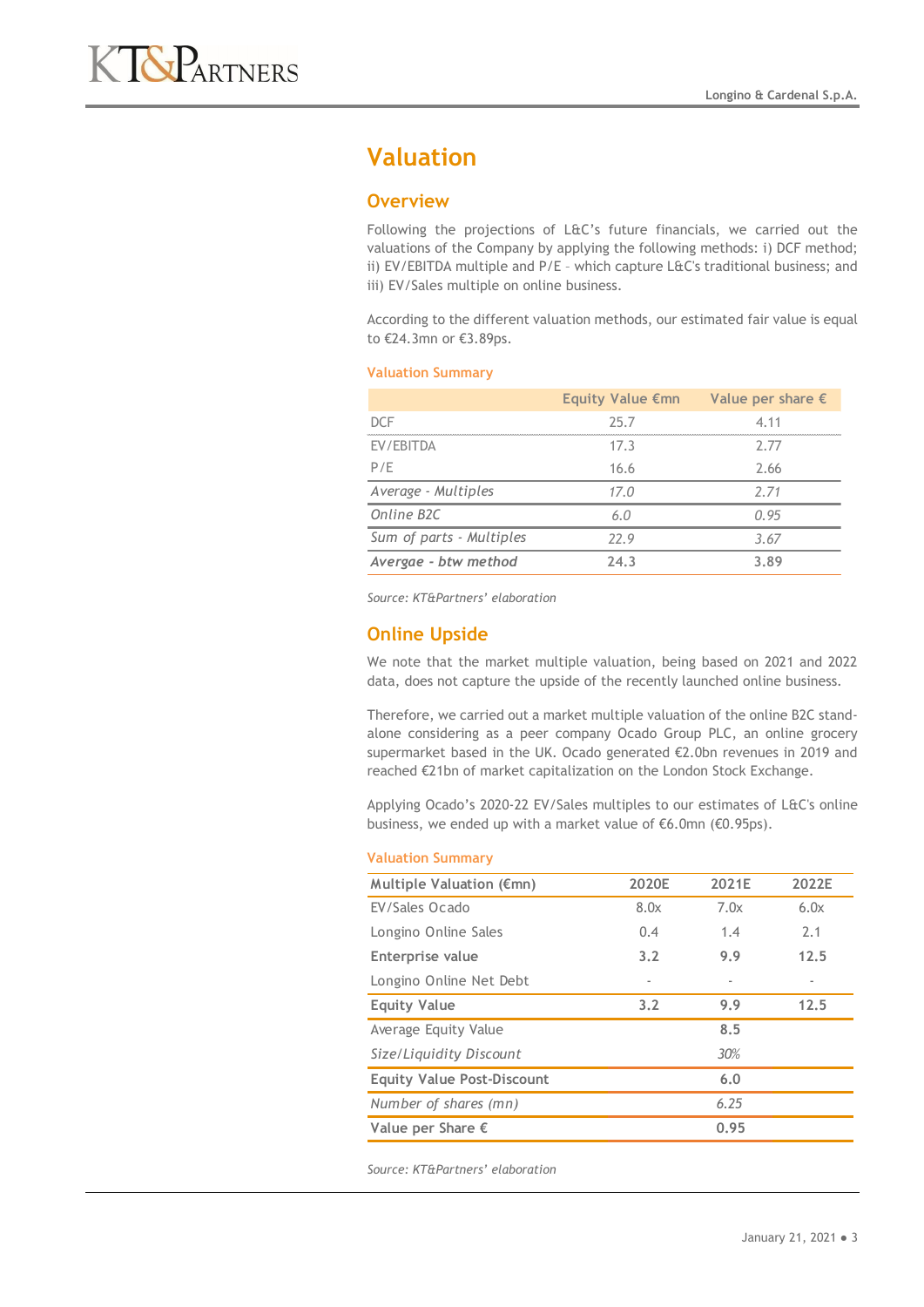# **Valuation**

### **Overview**

Following the projections of L&C's future financials, we carried out the valuations of the Company by applying the following methods: i) DCF method; ii) EV/EBITDA multiple and P/E - which capture L&C's traditional business; and iii) EV/Sales multiple on online business.

According to the different valuation methods, our estimated fair value is equal to €24.3mn or €3.89ps.

#### **Valuation Summary**

|                          | Equity Value $\epsilon$ mn | Value per share $\epsilon$ |
|--------------------------|----------------------------|----------------------------|
| <b>DCF</b>               | 25.7                       | 4.11                       |
| EV/EBITDA                | 17.3                       | 2.77                       |
| P/F                      | 16.6                       | 2.66                       |
| Average - Multiples      | 17.0                       | 2.71                       |
| Online B2C               | 6.0                        | 0.95                       |
| Sum of parts - Multiples | 77.9                       | 3.67                       |
| Avergae - btw method     | 24.3                       | 3.89                       |

*Source: KT&Partners' elaboration*

## **Online Upside**

We note that the market multiple valuation, being based on 2021 and 2022 data, does not capture the upside of the recently launched online business.

Therefore, we carried out a market multiple valuation of the online B2C standalone considering as a peer company Ocado Group PLC, an online grocery supermarket based in the UK. Ocado generated €2.0bn revenues in 2019 and reached €21bn of market capitalization on the London Stock Exchange.

Applying Ocado's 2020-22 EV/Sales multiples to our estimates of L&C's online business, we ended up with a market value of €6.0mn (€0.95ps).

#### **Valuation Summary**

| Multiple Valuation (€mn)          | 2020E | 2021E | 2022E |  |  |  |  |
|-----------------------------------|-------|-------|-------|--|--|--|--|
| EV/Sales Ocado                    | 8.0x  | 7.0x  | 6.0x  |  |  |  |  |
| Longino Online Sales              | 0.4   | 1.4   | 2.1   |  |  |  |  |
| Enterprise value                  | 3.2   | 9.9   | 12.5  |  |  |  |  |
| Longino Online Net Debt           | ٠     |       |       |  |  |  |  |
| <b>Equity Value</b>               | 3.2   | 9.9   | 12.5  |  |  |  |  |
| Average Equity Value              |       | 8.5   |       |  |  |  |  |
| Size/Liquidity Discount           |       | 30%   |       |  |  |  |  |
| <b>Equity Value Post-Discount</b> |       | 6.0   |       |  |  |  |  |
| Number of shares (mn)             |       | 6.25  |       |  |  |  |  |
| Value per Share $\epsilon$        | 0.95  |       |       |  |  |  |  |

*Source: KT&Partners' elaboration*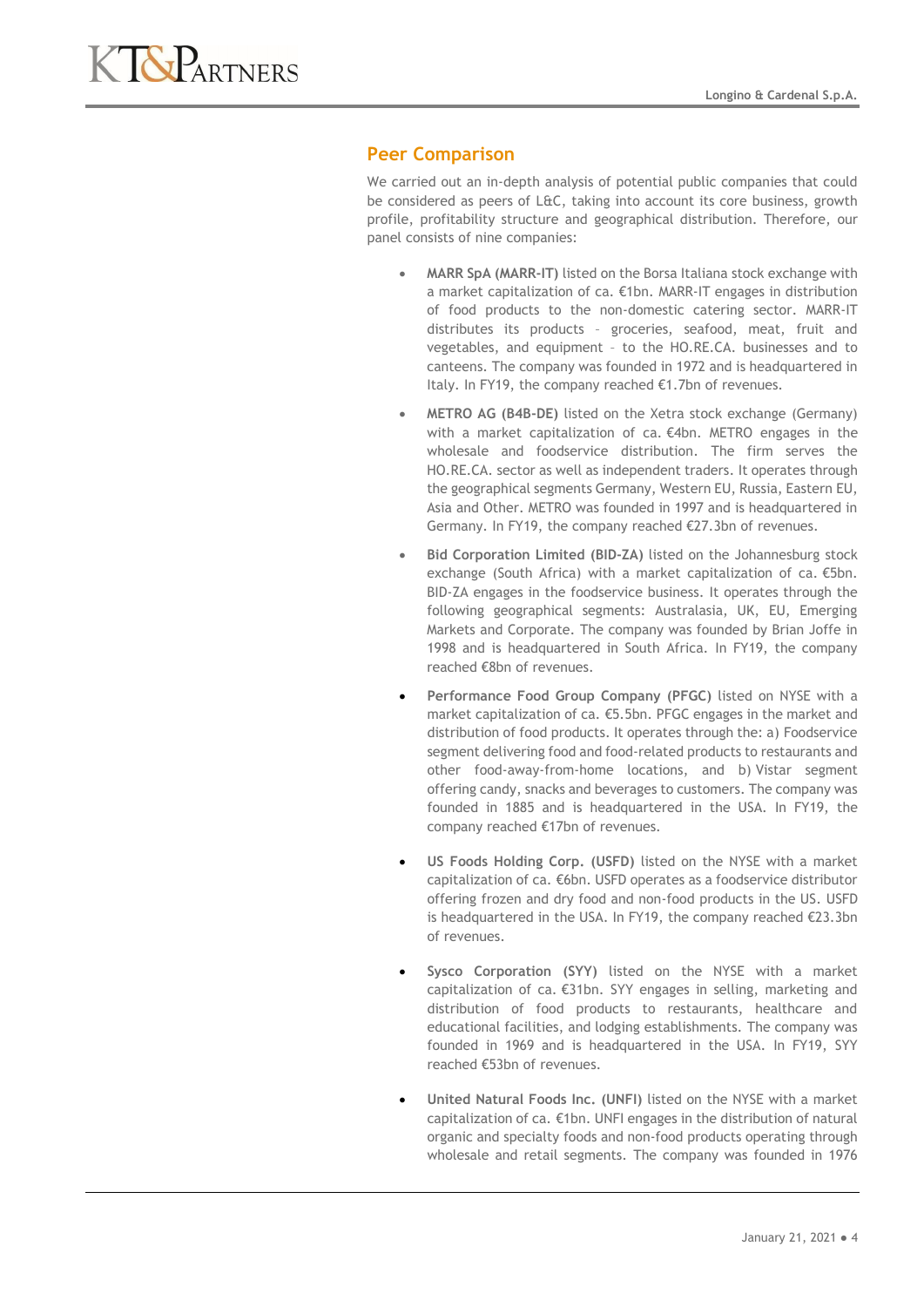

## **Peer Comparison**

We carried out an in-depth analysis of potential public companies that could be considered as peers of L&C, taking into account its core business, growth profile, profitability structure and geographical distribution. Therefore, our panel consists of nine companies:

- **MARR SpA (MARR-IT)** listed on the Borsa Italiana stock exchange with a market capitalization of ca. €1bn. MARR-IT engages in distribution of food products to the non-domestic catering sector. MARR-IT distributes its products – groceries, seafood, meat, fruit and vegetables, and equipment – to the HO.RE.CA. businesses and to canteens. The company was founded in 1972 and is headquartered in Italy. In FY19, the company reached €1.7bn of revenues.
- **METRO AG (B4B-DE)** listed on the Xetra stock exchange (Germany) with a market capitalization of ca. €4bn. METRO engages in the wholesale and foodservice distribution. The firm serves the HO.RE.CA. sector as well as independent traders. It operates through the geographical segments Germany, Western EU, Russia, Eastern EU, Asia and Other. METRO was founded in 1997 and is headquartered in Germany. In FY19, the company reached €27.3bn of revenues.
- **Bid Corporation Limited (BID-ZA)** listed on the Johannesburg stock exchange (South Africa) with a market capitalization of ca. €5bn. BID-ZA engages in the foodservice business. It operates through the following geographical segments: Australasia, UK, EU, Emerging Markets and Corporate. The company was founded by Brian Joffe in 1998 and is headquartered in South Africa. In FY19, the company reached €8bn of revenues.
- **Performance Food Group Company (PFGC)** listed on NYSE with a market capitalization of ca. €5.5bn. PFGC engages in the market and distribution of food products. It operates through the: a) Foodservice segment delivering food and food-related products to restaurants and other food-away-from-home locations, and b) Vistar segment offering candy, snacks and beverages to customers. The company was founded in 1885 and is headquartered in the USA. In FY19, the company reached €17bn of revenues.
- **US Foods Holding Corp. (USFD)** listed on the NYSE with a market capitalization of ca. €6bn. USFD operates as a foodservice distributor offering frozen and dry food and non-food products in the US. USFD is headquartered in the USA. In FY19, the company reached €23.3bn of revenues.
- **Sysco Corporation (SYY)** listed on the NYSE with a market capitalization of ca. €31bn. SYY engages in selling, marketing and distribution of food products to restaurants, healthcare and educational facilities, and lodging establishments. The company was founded in 1969 and is headquartered in the USA. In FY19, SYY reached €53bn of revenues.
- **United Natural Foods Inc. (UNFI)** listed on the NYSE with a market capitalization of ca. €1bn. UNFI engages in the distribution of natural organic and specialty foods and non-food products operating through wholesale and retail segments. The company was founded in 1976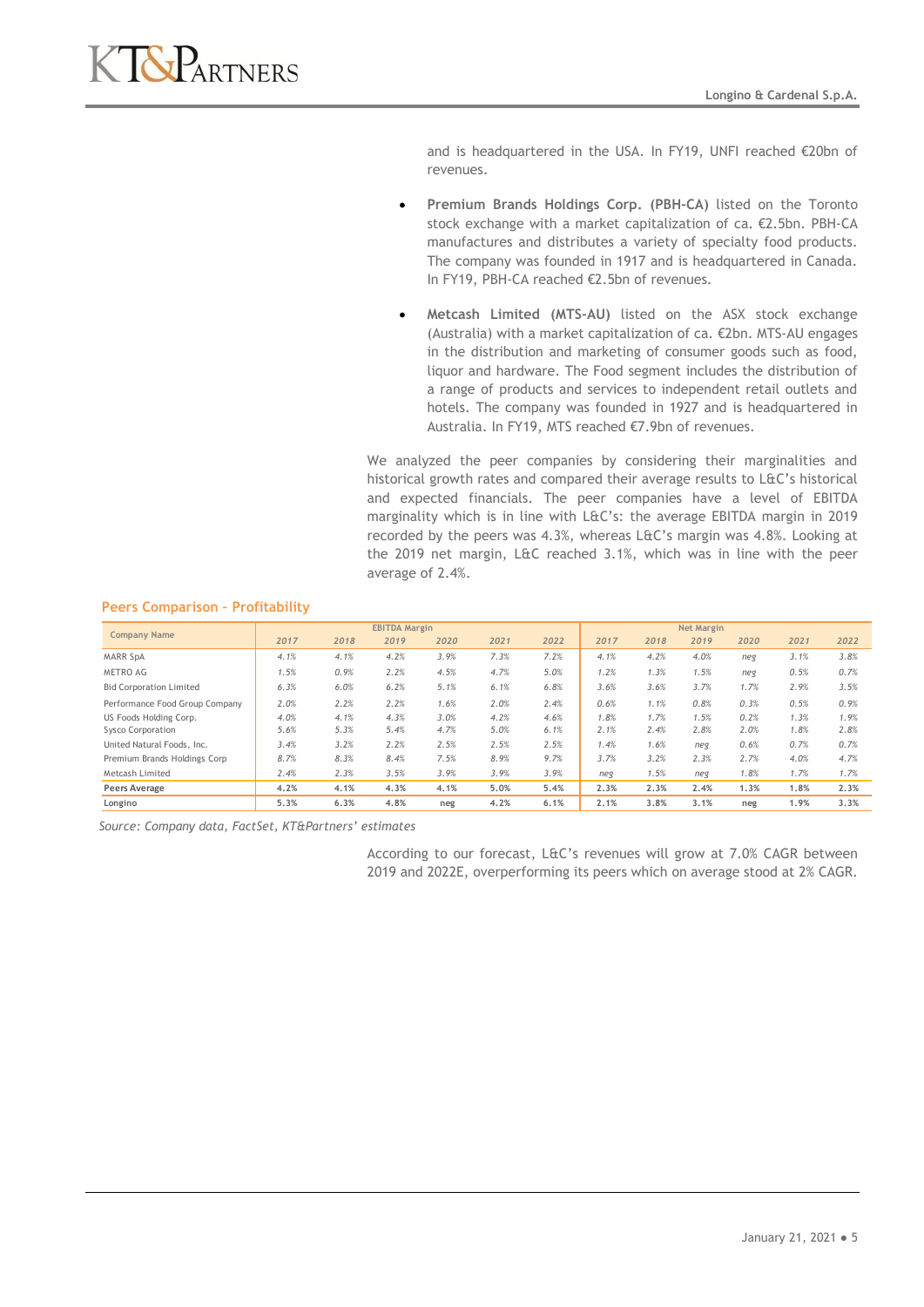

and is headquartered in the USA. In FY19, UNFI reached €20bn of revenues.

- **Premium Brands Holdings Corp. (PBH-CA)** listed on the Toronto stock exchange with a market capitalization of ca. €2.5bn. PBH-CA manufactures and distributes a variety of specialty food products. The company was founded in 1917 and is headquartered in Canada. In FY19, PBH-CA reached €2.5bn of revenues.
- **Metcash Limited (MTS-AU)** listed on the ASX stock exchange (Australia) with a market capitalization of ca. €2bn. MTS-AU engages in the distribution and marketing of consumer goods such as food, liquor and hardware. The Food segment includes the distribution of a range of products and services to independent retail outlets and hotels. The company was founded in 1927 and is headquartered in Australia. In FY19, MTS reached €7.9bn of revenues.

We analyzed the peer companies by considering their marginalities and historical growth rates and compared their average results to L&C's historical and expected financials. The peer companies have a level of EBITDA marginality which is in line with L&C's: the average EBITDA margin in 2019 recorded by the peers was 4.3%, whereas L&C's margin was 4.8%. Looking at the 2019 net margin, L&C reached 3.1%, which was in line with the peer average of 2.4%.

| <b>Company Name</b>            | <b>EBITDA Margin</b> |      |      |      |      |      |      | <b>Net Margin</b> |      |      |      |      |
|--------------------------------|----------------------|------|------|------|------|------|------|-------------------|------|------|------|------|
|                                | 2017                 | 2018 | 2019 | 2020 | 2021 | 2022 | 2017 | 2018              | 2019 | 2020 | 2021 | 2022 |
| <b>MARR SpA</b>                | 4.1%                 | 4.1% | 4.2% | 3.9% | 7.3% | 7.2% | 4.1% | 4.2%              | 4.0% | neg  | 3.1% | 3.8% |
| <b>METRO AG</b>                | 1.5%                 | 0.9% | 2.2% | 4.5% | 4.7% | 5.0% | 1.2% | 1.3%              | 1.5% | neg  | 0.5% | 0.7% |
| <b>Bid Corporation Limited</b> | 6.3%                 | 6.0% | 6.2% | 5.1% | 6.1% | 6.8% | 3.6% | 3.6%              | 3.7% | 1.7% | 2.9% | 3.5% |
| Performance Food Group Company | 2.0%                 | 2.2% | 2.2% | 1.6% | 2.0% | 2.4% | 0.6% | 1.1%              | 0.8% | 0.3% | 0.5% | 0.9% |
| US Foods Holding Corp.         | 4.0%                 | 4.1% | 4.3% | 3.0% | 4.2% | 4.6% | 1.8% | 1.7%              | 1.5% | 0.2% | 1.3% | 1.9% |
| Sysco Corporation              | 5.6%                 | 5.3% | 5.4% | 4.7% | 5.0% | 6.1% | 2.1% | 2.4%              | 2.8% | 2.0% | 1.8% | 2.8% |
| United Natural Foods, Inc.     | 3.4%                 | 3.2% | 2.2% | 2.5% | 2.5% | 2.5% | 1.4% | 1.6%              | neg  | 0.6% | 0.7% | 0.7% |
| Premium Brands Holdings Corp   | 8.7%                 | 8.3% | 8.4% | 7.5% | 8.9% | 9.7% | 3.7% | 3.2%              | 2.3% | 2.7% | 4.0% | 4.7% |
| Metcash Limited                | 2.4%                 | 2.3% | 3.5% | 3.9% | 3.9% | 3.9% | neg  | 1.5%              | neg  | 1.8% | 1.7% | 1.7% |
| Peers Average                  | 4.2%                 | 4.1% | 4.3% | 4.1% | 5.0% | 5.4% | 2.3% | 2.3%              | 2.4% | 1.3% | 1.8% | 2.3% |
| Longino                        | 5.3%                 | 6.3% | 4.8% | neg  | 4.2% | 6.1% | 2.1% | 3.8%              | 3.1% | neg  | 1.9% | 3.3% |

#### **Peers Comparison – Profitability**

*Source: Company data, FactSet, KT&Partners' estimates*

According to our forecast, L&C's revenues will grow at 7.0% CAGR between 2019 and 2022E, overperforming its peers which on average stood at 2% CAGR.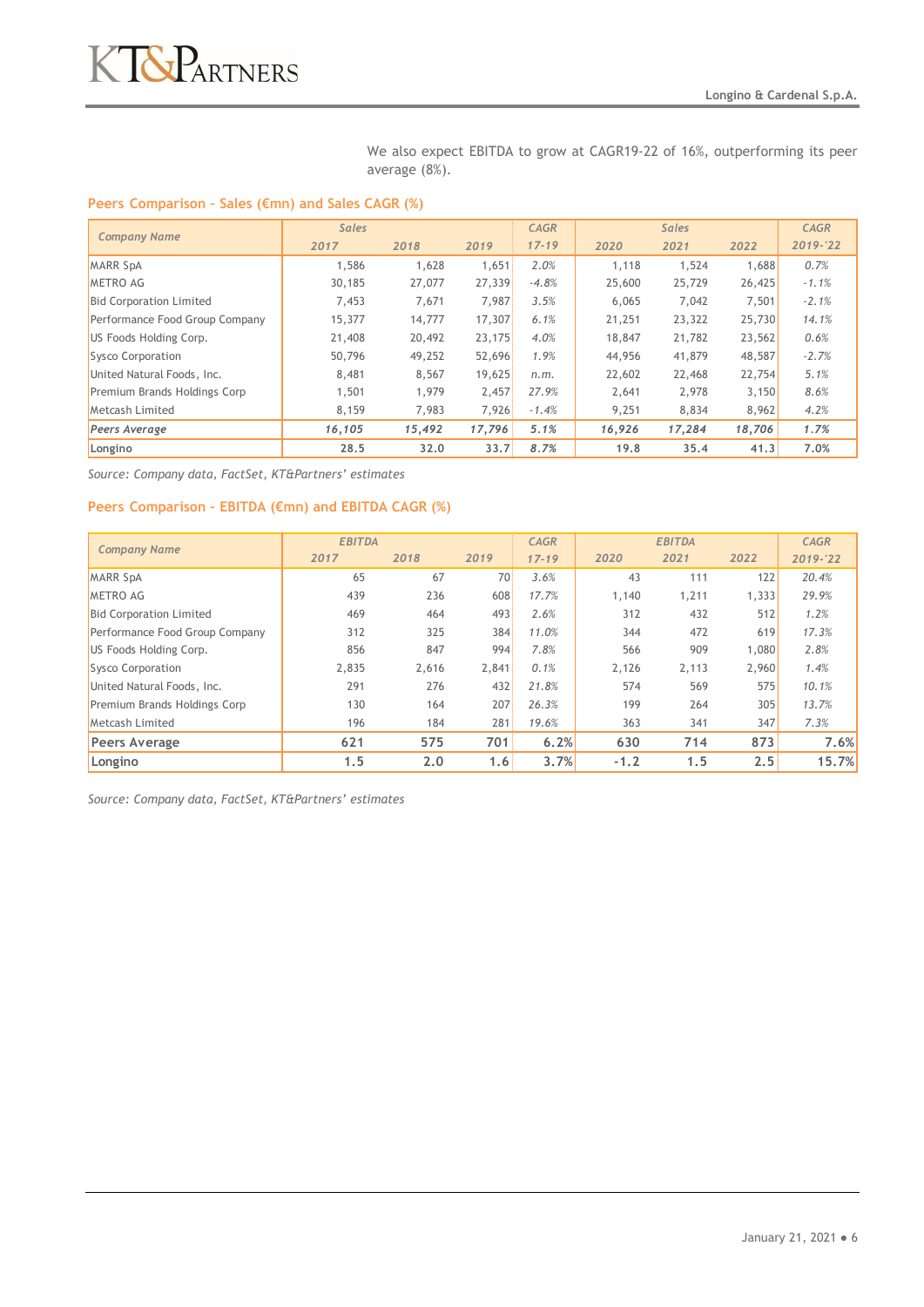We also expect EBITDA to grow at CAGR19-22 of 16%, outperforming its peer average (8%).

#### **Peers Comparison – Sales (€mn) and Sales CAGR (%)**

| <b>Company Name</b>            | <b>Sales</b> |        |        | <b>CAGR</b> |        | <b>Sales</b> |        | <b>CAGR</b> |
|--------------------------------|--------------|--------|--------|-------------|--------|--------------|--------|-------------|
|                                | 2017         | 2018   | 2019   | $17 - 19$   | 2020   | 2021         | 2022   | 2019-'22    |
| <b>MARR SpA</b>                | 1,586        | 1,628  | 1,651  | 2.0%        | 1,118  | 1,524        | 1,688  | 0.7%        |
| <b>METRO AG</b>                | 30,185       | 27,077 | 27,339 | $-4.8%$     | 25,600 | 25,729       | 26,425 | $-1.1%$     |
| <b>Bid Corporation Limited</b> | 7,453        | 7,671  | 7.987  | 3.5%        | 6.065  | 7,042        | 7,501  | $-2.1%$     |
| Performance Food Group Company | 15,377       | 14,777 | 17,307 | 6.1%        | 21,251 | 23,322       | 25,730 | 14.1%       |
| US Foods Holding Corp.         | 21,408       | 20,492 | 23,175 | 4.0%        | 18,847 | 21,782       | 23,562 | 0.6%        |
| Sysco Corporation              | 50.796       | 49,252 | 52,696 | 1.9%        | 44,956 | 41,879       | 48,587 | $-2.7%$     |
| United Natural Foods, Inc.     | 8,481        | 8,567  | 19,625 | n.m.        | 22,602 | 22,468       | 22,754 | 5.1%        |
| Premium Brands Holdings Corp   | 1,501        | 1,979  | 2.457  | 27.9%       | 2.641  | 2,978        | 3,150  | 8.6%        |
| Metcash Limited                | 8,159        | 7,983  | 7.926  | $-1.4%$     | 9,251  | 8,834        | 8,962  | 4.2%        |
| Peers Average                  | 16,105       | 15,492 | 17,796 | 5.1%        | 16,926 | 17,284       | 18,706 | 1.7%        |
| Longino                        | 28.5         | 32.0   | 33.7   | 8.7%        | 19.8   | 35.4         | 41.3   | 7.0%        |

*Source: Company data, FactSet, KT&Partners' estimates*

#### **Peers Comparison – EBITDA (€mn) and EBITDA CAGR (%)**

| <b>Company Name</b>            | <b>EBITDA</b> |       |       | <b>CAGR</b> |        |       | <b>CAGR</b> |          |
|--------------------------------|---------------|-------|-------|-------------|--------|-------|-------------|----------|
|                                | 2017          | 2018  | 2019  | $17 - 19$   | 2020   | 2021  | 2022        | 2019-'22 |
| <b>MARR SpA</b>                | 65            | 67    | 70    | 3.6%        | 43     | 111   | 122         | 20.4%    |
| <b>METRO AG</b>                | 439           | 236   | 608   | 17.7%       | 1,140  | 1,211 | 1,333       | 29.9%    |
| <b>Bid Corporation Limited</b> | 469           | 464   | 493   | 2.6%        | 312    | 432   | 512         | 1.2%     |
| Performance Food Group Company | 312           | 325   | 384   | 11.0%       | 344    | 472   | 619         | 17.3%    |
| US Foods Holding Corp.         | 856           | 847   | 994   | 7.8%        | 566    | 909   | 1,080       | 2.8%     |
| Sysco Corporation              | 2,835         | 2,616 | 2,841 | 0.1%        | 2,126  | 2,113 | 2,960       | 1.4%     |
| United Natural Foods, Inc.     | 291           | 276   | 432   | 21.8%       | 574    | 569   | 575         | 10.1%    |
| Premium Brands Holdings Corp   | 130           | 164   | 207   | 26.3%       | 199    | 264   | 305         | 13.7%    |
| <b>Metcash Limited</b>         | 196           | 184   | 281   | 19.6%       | 363    | 341   | 347         | 7.3%     |
| <b>Peers Average</b>           | 621           | 575   | 701   | 6.2%        | 630    | 714   | 873         | 7.6%     |
| Longino                        | 1.5           | 2.0   | 1.6   | 3.7%        | $-1.2$ | 1.5   | 2.5         | 15.7%    |

*Source: Company data, FactSet, KT&Partners' estimates*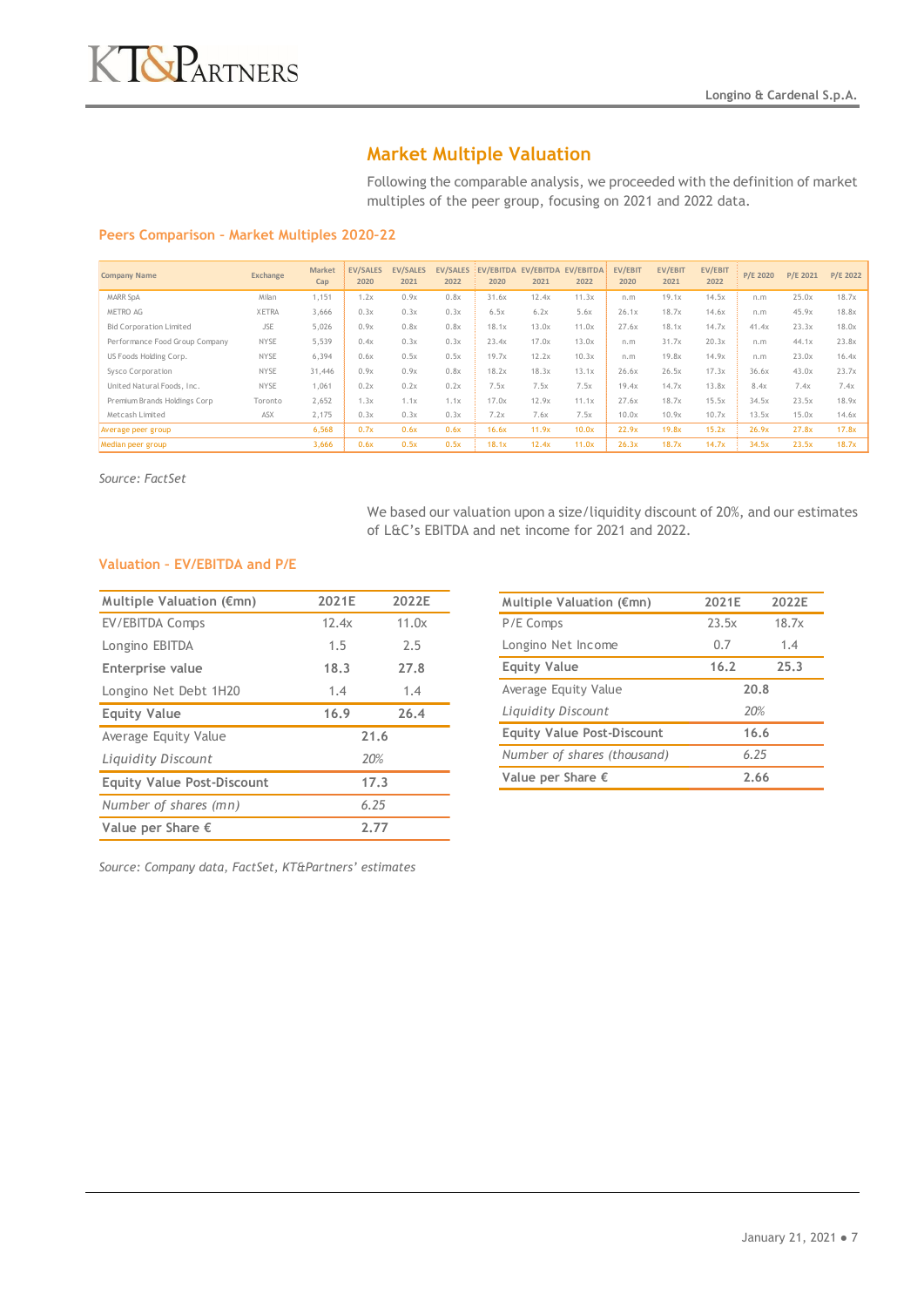# **Market Multiple Valuation**

Following the comparable analysis, we proceeded with the definition of market multiples of the peer group, focusing on 2021 and 2022 data.

#### **Peers Comparison – Market Multiples 2020–22**

| <b>Company Name</b>            | Exchange     | <b>Market</b><br>Cap | <b>EV/SALES</b><br>2020 | <b>EV/SALES</b><br>2021 | <b>EV/SALES</b><br>2022 | EV/EBITDA<br>2020 | EV/EBITDA<br>2021 | EV/EBITDA<br>2022 | <b>EV/EBIT</b><br>2020 | EV/EBIT<br>2021 | <b>EV/EBIT</b><br>2022 | P/E 2020 | P/E 2021 | P/E 2022 |
|--------------------------------|--------------|----------------------|-------------------------|-------------------------|-------------------------|-------------------|-------------------|-------------------|------------------------|-----------------|------------------------|----------|----------|----------|
| <b>MARR SpA</b>                | Milan        | 1,151                | 1.2x                    | 0.9x                    | 0.8x                    | 31.6x             | 12.4x             | 11.3x             | n.m                    | 19.1x           | 14.5x                  | n.m      | 25.0x    | 18.7x    |
| METRO AG                       | <b>XETRA</b> | 3.666                | 0.3x                    | 0.3x                    | 0.3x                    | 6.5x              | 6.2x              | 5.6x              | 26.1x                  | 18.7x           | 14.6x                  | n.m      | 45.9x    | 18.8x    |
| <b>Bid Corporation Limited</b> | <b>JSE</b>   | 5,026                | 0.9x                    | 0.8x                    | 0.8x                    | 18.1x             | 13.0x             | 11.0x             | 27.6x                  | 18.1x           | 14.7x                  | 41.4x    | 23.3x    | 18.0x    |
| Performance Food Group Company | <b>NYSE</b>  | 5.539                | 0.4x                    | 0.3x                    | 0.3x                    | 23.4x             | 17.0x             | 13.0x             | n.m                    | 31.7x           | 20.3x                  | n.m      | 44.1x    | 23.8x    |
| US Foods Holding Corp.         | <b>NYSE</b>  | 6,394                | 0.6x                    | 0.5x                    | 0.5x                    | 19.7x             | 12.2x             | 10.3x             | n.m                    | 19.8x           | 14.9x                  | n.m      | 23.0x    | 16.4x    |
| Sysco Corporation              | <b>NYSE</b>  | 31,446               | 0.9x                    | 0.9x                    | 0.8x                    | 18.2x             | 18.3x             | 13.1x             | 26.6x                  | 26.5x           | 17.3x                  | 36.6x    | 43.0x    | 23.7x    |
| United Natural Foods, Inc.     | <b>NYSE</b>  | 1.061                | 0.2x                    | 0.2x                    | 0.2x                    | 7.5x              | 7.5x              | 7.5x              | 19.4x                  | 14.7x           | 13.8x                  | 8.4x     | 7.4x     | 7.4x     |
| Premium Brands Holdings Corp   | Toronto      | 2,652                | 1.3x                    | 1.1x                    | 1.1x                    | 17.0x             | 12.9x             | 11.1x             | 27.6x                  | 18.7x           | 15.5x                  | 34.5x    | 23.5x    | 18.9x    |
| Metcash Limited                | ASX          | 2.175                | 0.3x                    | 0.3x                    | 0.3x                    | 7.2x              | 7.6x              | 7.5x              | 10.0x                  | 10.9x           | 10.7x                  | 13.5x    | 15.0x    | 14.6x    |
| Average peer group             |              | 6,568                | 0.7x                    | 0.6x                    | 0.6x                    | 16.6x             | 11.9x             | 10.0x             | 22.9x                  | 19.8x           | 15.2x                  | 26.9x    | 27.8x    | 17.8x    |
| Median peer group              |              | 3,666                | 0.6x                    | 0.5x                    | 0.5x                    | 18.1x             | 12.4x             | 11.0x             | 26.3x                  | 18.7x           | 14.7x                  | 34.5x    | 23.5x    | 18.7x    |

*Source: FactSet*

We based our valuation upon a size/liquidity discount of 20%, and our estimates of L&C's EBITDA and net income for 2021 and 2022.

#### **Valuation – EV/EBITDA and P/E**

| Multiple Valuation (€mn)          | 2021E | 2022E |
|-----------------------------------|-------|-------|
| EV/EBITDA Comps                   | 12.4x | 11.0x |
| Longino EBITDA                    | 1.5   | 2.5   |
| Enterprise value                  | 18.3  | 27.8  |
| Longino Net Debt 1H20             | 1.4   | 1.4   |
| <b>Equity Value</b>               | 16.9  | 26.4  |
| Average Equity Value              | 21.6  |       |
| Liquidity Discount                | 20%   |       |
| <b>Equity Value Post-Discount</b> | 17.3  |       |
| Number of shares (mn)             | 6.25  |       |
| Value per Share $\epsilon$        | 2.77  |       |

| 2021E<br>2022E |       |  |
|----------------|-------|--|
| 23.5x          | 18.7x |  |
| 0.7            | 1.4   |  |
| 16.2           | 25.3  |  |
| 20.8           |       |  |
| 20%            |       |  |
| 16.6           |       |  |
| 6.25           |       |  |
| 2.66           |       |  |
|                |       |  |

*Source: Company data, FactSet, KT&Partners' estimates*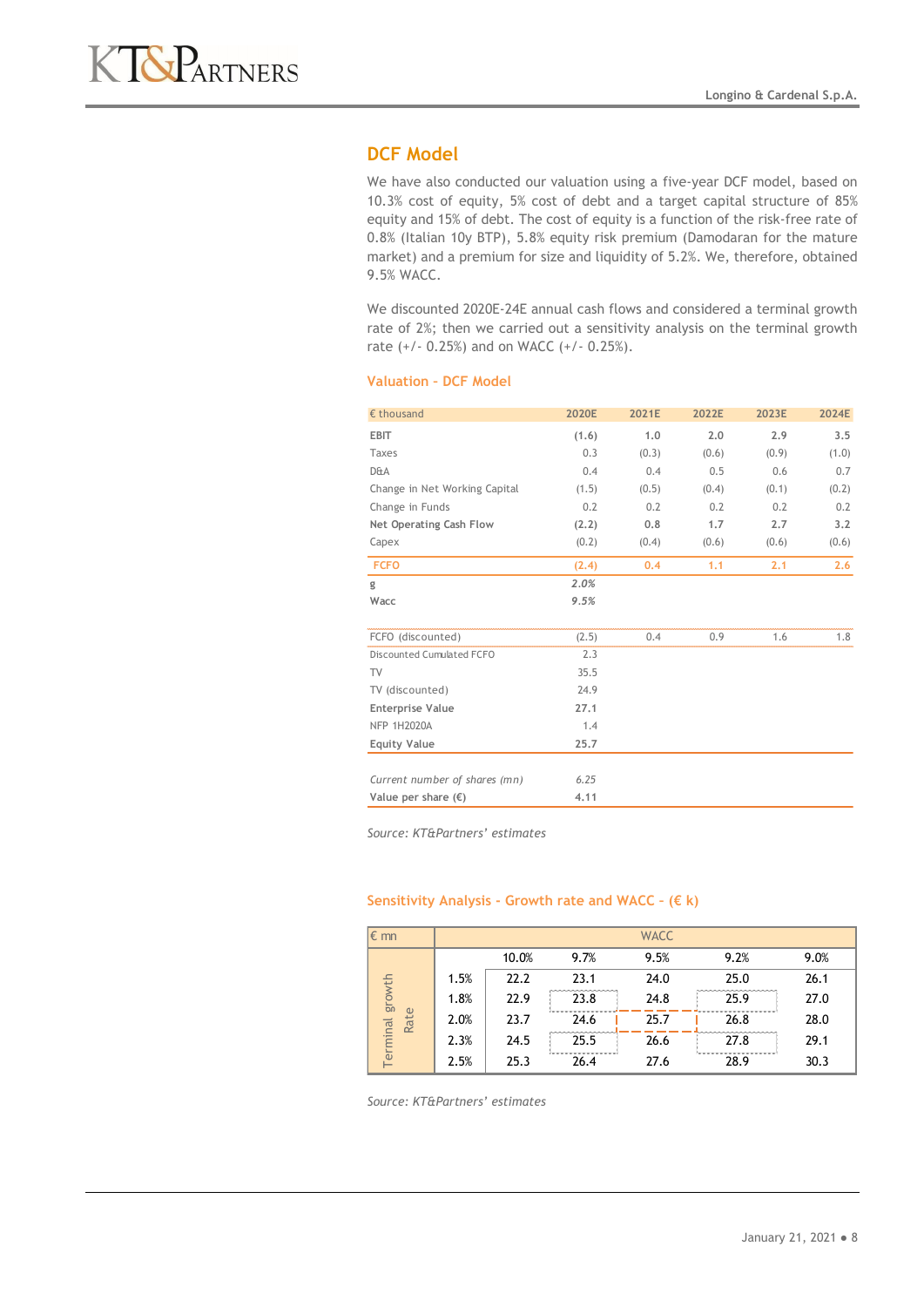

# **DCF Model**

We have also conducted our valuation using a five-year DCF model, based on 10.3% cost of equity, 5% cost of debt and a target capital structure of 85% equity and 15% of debt. The cost of equity is a function of the risk-free rate of 0.8% (Italian 10y BTP), 5.8% equity risk premium (Damodaran for the mature market) and a premium for size and liquidity of 5.2%. We, therefore, obtained 9.5% WACC.

We discounted 2020E-24E annual cash flows and considered a terminal growth rate of 2%; then we carried out a sensitivity analysis on the terminal growth rate (+/- 0.25%) and on WACC (+/- 0.25%).

#### **Valuation – DCF Model**

| $\epsilon$ thousand           | 2020E | 2021E | 2022E | 2023E | 2024E |
|-------------------------------|-------|-------|-------|-------|-------|
| <b>EBIT</b>                   | (1.6) | 1.0   | 2.0   | 2.9   | 3.5   |
| Taxes                         | 0.3   | (0.3) | (0.6) | (0.9) | (1.0) |
| <b>D&amp;A</b>                | 0.4   | 0.4   | 0.5   | 0.6   | 0.7   |
| Change in Net Working Capital | (1.5) | (0.5) | (0.4) | (0.1) | (0.2) |
| Change in Funds               | 0.2   | 0.2   | 0.2   | 0.2   | 0.2   |
| Net Operating Cash Flow       | (2.2) | 0.8   | 1.7   | 2.7   | 3.2   |
| Capex                         | (0.2) | (0.4) | (0.6) | (0.6) | (0.6) |
| <b>FCFO</b>                   | (2.4) | 0.4   | 1.1   | 2.1   | 2,6   |
| g                             | 2.0%  |       |       |       |       |
| Wacc                          | 9.5%  |       |       |       |       |
|                               |       |       |       |       |       |
| FCFO (discounted)             | (2.5) | 0.4   | 0.9   | 1.6   | 1.8   |
| Discounted Cumulated FCFO     | 2.3   |       |       |       |       |
| TV                            | 35.5  |       |       |       |       |
| TV (discounted)               | 24.9  |       |       |       |       |
| <b>Enterprise Value</b>       | 27.1  |       |       |       |       |
| <b>NFP 1H2020A</b>            | 1.4   |       |       |       |       |
| <b>Equity Value</b>           | 25.7  |       |       |       |       |
|                               |       |       |       |       |       |
| Current number of shares (mn) | 6.25  |       |       |       |       |
| Value per share $(\epsilon)$  | 4.11  |       |       |       |       |

*Source: KT&Partners' estimates*

#### **Sensitivity Analysis - Growth rate and WACC – (€ k)**

| l€ mn           |      |       |      | <b>WACC</b> |      |      |
|-----------------|------|-------|------|-------------|------|------|
|                 |      | 10.0% | 9.7% | 9.5%        | 9.2% | 9.0% |
|                 | 1.5% | 22.2  | 23.1 | 24.0        | 25.0 | 26.1 |
| growth          | 1.8% | 22.9  | 23.8 | 24.8        | 25.9 | 27.0 |
| Rate            | 2.0% | 23.7  | 24.6 | 25.7        | 26.8 | 28.0 |
| <b>Terminal</b> | 2.3% | 24.5  | 25.5 | 26.6        | 27.8 | 29.1 |
|                 | 2.5% | 25.3  | 26.4 | 27.6        | 28.9 | 30.3 |

*Source: KT&Partners' estimates*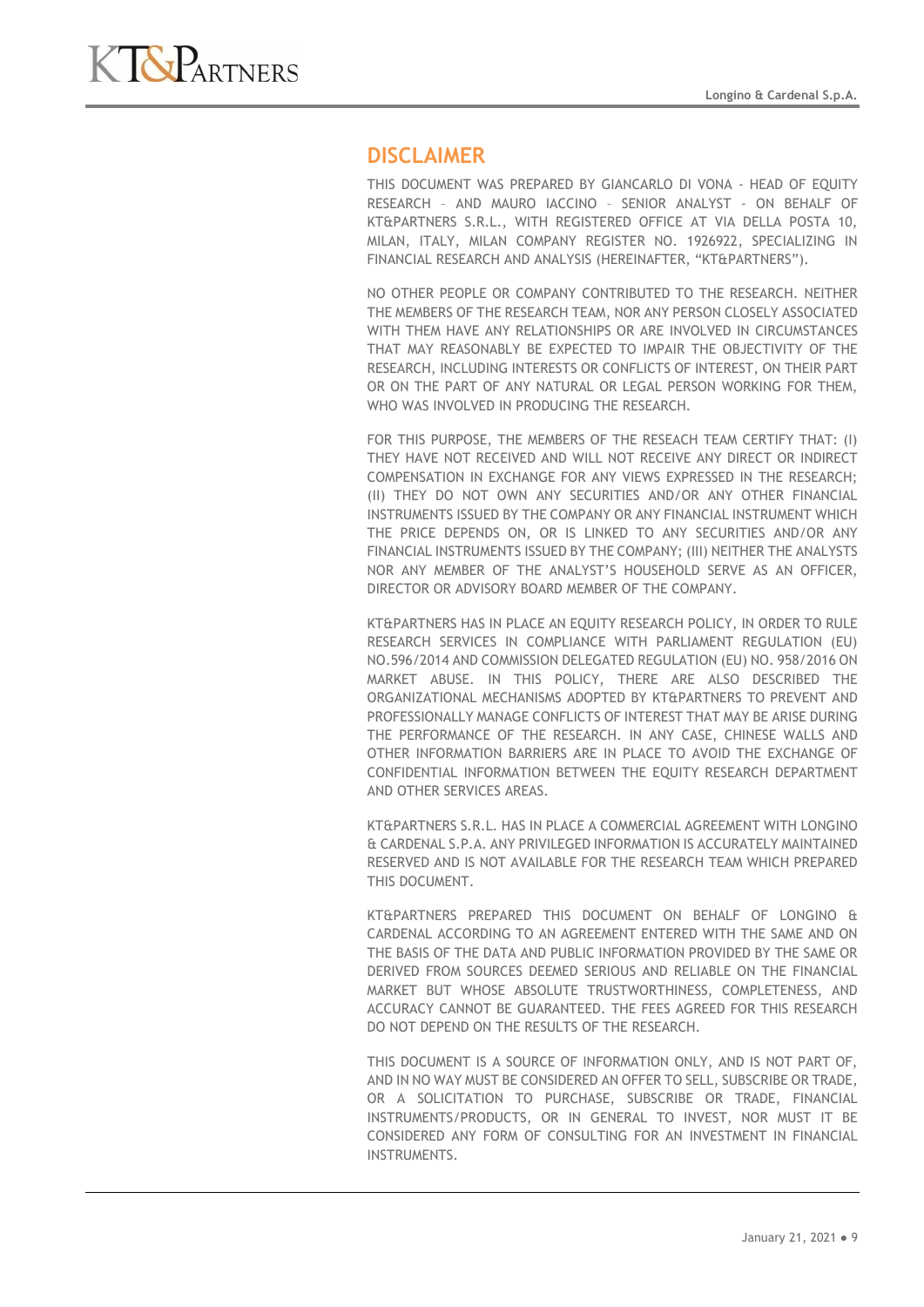

# **DISCLAIMER**

THIS DOCUMENT WAS PREPARED BY GIANCARLO DI VONA - HEAD OF EQUITY RESEARCH – AND MAURO IACCINO – SENIOR ANALYST - ON BEHALF OF KT&PARTNERS S.R.L., WITH REGISTERED OFFICE AT VIA DELLA POSTA 10, MILAN, ITALY, MILAN COMPANY REGISTER NO. 1926922, SPECIALIZING IN FINANCIAL RESEARCH AND ANALYSIS (HEREINAFTER, "KT&PARTNERS").

NO OTHER PEOPLE OR COMPANY CONTRIBUTED TO THE RESEARCH. NEITHER THE MEMBERS OF THE RESEARCH TEAM, NOR ANY PERSON CLOSELY ASSOCIATED WITH THEM HAVE ANY RELATIONSHIPS OR ARE INVOLVED IN CIRCUMSTANCES THAT MAY REASONABLY BE EXPECTED TO IMPAIR THE OBJECTIVITY OF THE RESEARCH, INCLUDING INTERESTS OR CONFLICTS OF INTEREST, ON THEIR PART OR ON THE PART OF ANY NATURAL OR LEGAL PERSON WORKING FOR THEM, WHO WAS INVOLVED IN PRODUCING THE RESEARCH.

FOR THIS PURPOSE, THE MEMBERS OF THE RESEACH TEAM CERTIFY THAT: (I) THEY HAVE NOT RECEIVED AND WILL NOT RECEIVE ANY DIRECT OR INDIRECT COMPENSATION IN EXCHANGE FOR ANY VIEWS EXPRESSED IN THE RESEARCH; (II) THEY DO NOT OWN ANY SECURITIES AND/OR ANY OTHER FINANCIAL INSTRUMENTS ISSUED BY THE COMPANY OR ANY FINANCIAL INSTRUMENT WHICH THE PRICE DEPENDS ON, OR IS LINKED TO ANY SECURITIES AND/OR ANY FINANCIAL INSTRUMENTS ISSUED BY THE COMPANY; (III) NEITHER THE ANALYSTS NOR ANY MEMBER OF THE ANALYST'S HOUSEHOLD SERVE AS AN OFFICER, DIRECTOR OR ADVISORY BOARD MEMBER OF THE COMPANY.

KT&PARTNERS HAS IN PLACE AN EQUITY RESEARCH POLICY, IN ORDER TO RULE RESEARCH SERVICES IN COMPLIANCE WITH PARLIAMENT REGULATION (EU) NO.596/2014 AND COMMISSION DELEGATED REGULATION (EU) NO. 958/2016 ON MARKET ABUSE. IN THIS POLICY, THERE ARE ALSO DESCRIBED THE ORGANIZATIONAL MECHANISMS ADOPTED BY KT&PARTNERS TO PREVENT AND PROFESSIONALLY MANAGE CONFLICTS OF INTEREST THAT MAY BE ARISE DURING THE PERFORMANCE OF THE RESEARCH. IN ANY CASE, CHINESE WALLS AND OTHER INFORMATION BARRIERS ARE IN PLACE TO AVOID THE EXCHANGE OF CONFIDENTIAL INFORMATION BETWEEN THE EQUITY RESEARCH DEPARTMENT AND OTHER SERVICES AREAS.

KT&PARTNERS S.R.L. HAS IN PLACE A COMMERCIAL AGREEMENT WITH LONGINO & CARDENAL S.P.A. ANY PRIVILEGED INFORMATION IS ACCURATELY MAINTAINED RESERVED AND IS NOT AVAILABLE FOR THE RESEARCH TEAM WHICH PREPARED THIS DOCUMENT.

KT&PARTNERS PREPARED THIS DOCUMENT ON BEHALF OF LONGINO & CARDENAL ACCORDING TO AN AGREEMENT ENTERED WITH THE SAME AND ON THE BASIS OF THE DATA AND PUBLIC INFORMATION PROVIDED BY THE SAME OR DERIVED FROM SOURCES DEEMED SERIOUS AND RELIABLE ON THE FINANCIAL MARKET BUT WHOSE ABSOLUTE TRUSTWORTHINESS, COMPLETENESS, AND ACCURACY CANNOT BE GUARANTEED. THE FEES AGREED FOR THIS RESEARCH DO NOT DEPEND ON THE RESULTS OF THE RESEARCH.

THIS DOCUMENT IS A SOURCE OF INFORMATION ONLY, AND IS NOT PART OF, AND IN NO WAY MUST BE CONSIDERED AN OFFER TO SELL, SUBSCRIBE OR TRADE, OR A SOLICITATION TO PURCHASE, SUBSCRIBE OR TRADE, FINANCIAL INSTRUMENTS/PRODUCTS, OR IN GENERAL TO INVEST, NOR MUST IT BE CONSIDERED ANY FORM OF CONSULTING FOR AN INVESTMENT IN FINANCIAL INSTRUMENTS.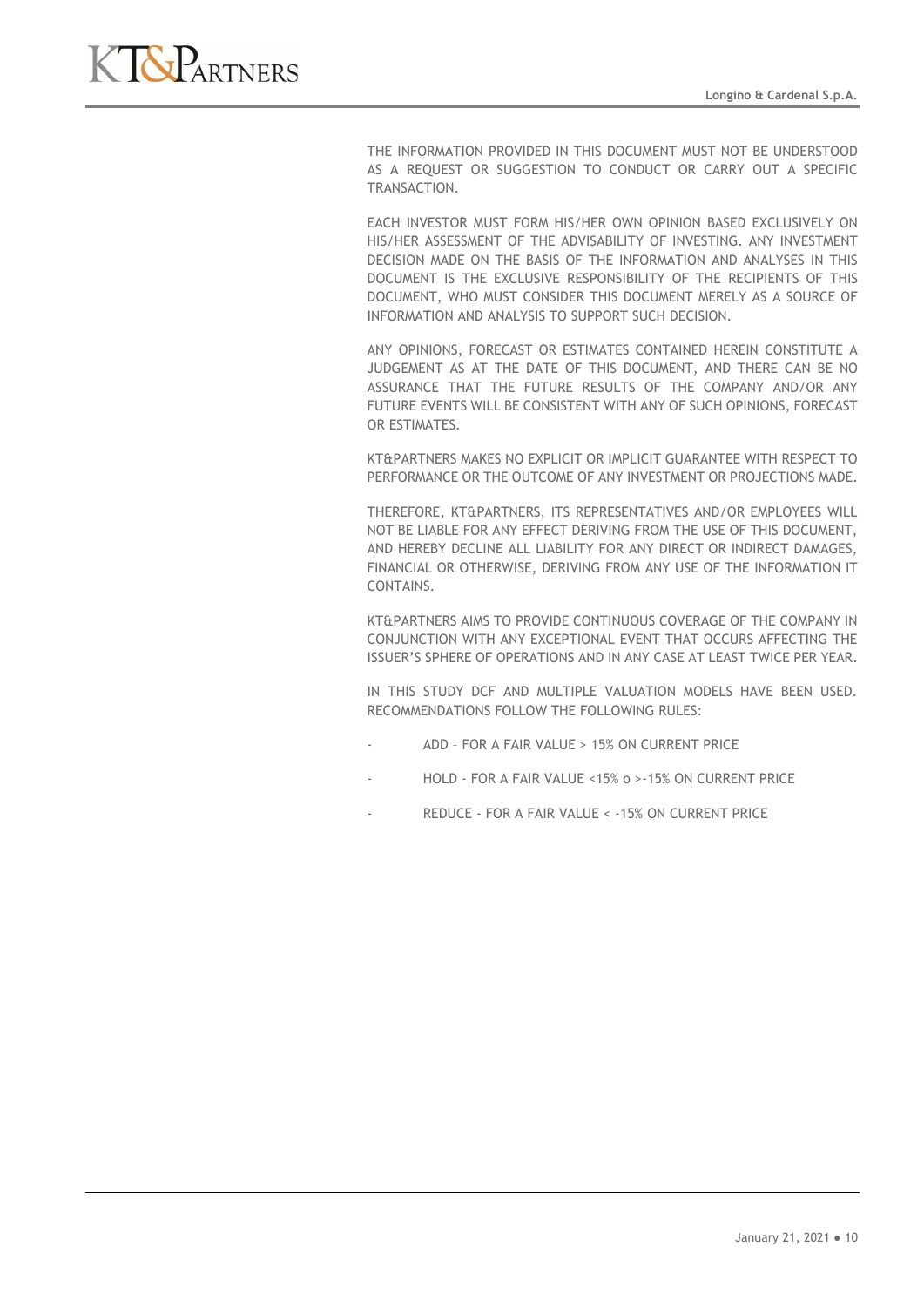

THE INFORMATION PROVIDED IN THIS DOCUMENT MUST NOT BE UNDERSTOOD AS A REQUEST OR SUGGESTION TO CONDUCT OR CARRY OUT A SPECIFIC TRANSACTION.

EACH INVESTOR MUST FORM HIS/HER OWN OPINION BASED EXCLUSIVELY ON HIS/HER ASSESSMENT OF THE ADVISABILITY OF INVESTING. ANY INVESTMENT DECISION MADE ON THE BASIS OF THE INFORMATION AND ANALYSES IN THIS DOCUMENT IS THE EXCLUSIVE RESPONSIBILITY OF THE RECIPIENTS OF THIS DOCUMENT, WHO MUST CONSIDER THIS DOCUMENT MERELY AS A SOURCE OF INFORMATION AND ANALYSIS TO SUPPORT SUCH DECISION.

ANY OPINIONS, FORECAST OR ESTIMATES CONTAINED HEREIN CONSTITUTE A JUDGEMENT AS AT THE DATE OF THIS DOCUMENT, AND THERE CAN BE NO ASSURANCE THAT THE FUTURE RESULTS OF THE COMPANY AND/OR ANY FUTURE EVENTS WILL BE CONSISTENT WITH ANY OF SUCH OPINIONS, FORECAST OR ESTIMATES.

KT&PARTNERS MAKES NO EXPLICIT OR IMPLICIT GUARANTEE WITH RESPECT TO PERFORMANCE OR THE OUTCOME OF ANY INVESTMENT OR PROJECTIONS MADE.

THEREFORE, KT&PARTNERS, ITS REPRESENTATIVES AND/OR EMPLOYEES WILL NOT BE LIABLE FOR ANY EFFECT DERIVING FROM THE USE OF THIS DOCUMENT, AND HEREBY DECLINE ALL LIABILITY FOR ANY DIRECT OR INDIRECT DAMAGES, FINANCIAL OR OTHERWISE, DERIVING FROM ANY USE OF THE INFORMATION IT CONTAINS.

KT&PARTNERS AIMS TO PROVIDE CONTINUOUS COVERAGE OF THE COMPANY IN CONJUNCTION WITH ANY EXCEPTIONAL EVENT THAT OCCURS AFFECTING THE ISSUER'S SPHERE OF OPERATIONS AND IN ANY CASE AT LEAST TWICE PER YEAR.

IN THIS STUDY DCF AND MULTIPLE VALUATION MODELS HAVE BEEN USED. RECOMMENDATIONS FOLLOW THE FOLLOWING RULES:

- ADD FOR A FAIR VALUE > 15% ON CURRENT PRICE
- HOLD FOR A FAIR VALUE <15% o >-15% ON CURRENT PRICE
- REDUCE FOR A FAIR VALUE < 15% ON CURRENT PRICE